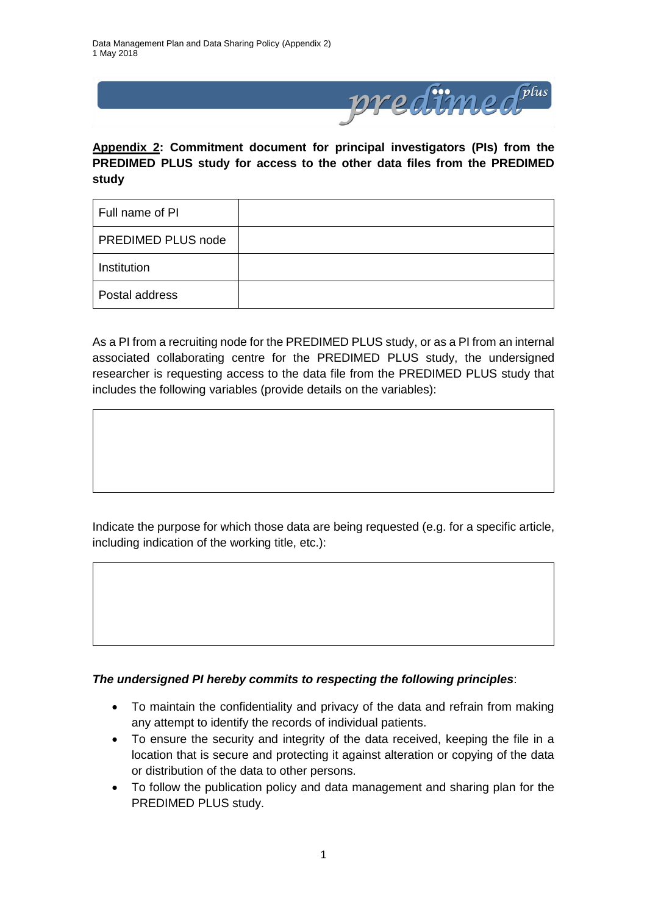

**Appendix 2: Commitment document for principal investigators (PIs) from the PREDIMED PLUS study for access to the other data files from the PREDIMED study**

| Full name of PI    |  |
|--------------------|--|
| PREDIMED PLUS node |  |
| Institution        |  |
| Postal address     |  |

As a PI from a recruiting node for the PREDIMED PLUS study, or as a PI from an internal associated collaborating centre for the PREDIMED PLUS study, the undersigned researcher is requesting access to the data file from the PREDIMED PLUS study that includes the following variables (provide details on the variables):

Indicate the purpose for which those data are being requested (e.g. for a specific article, including indication of the working title, etc.):

## *The undersigned PI hereby commits to respecting the following principles*:

- To maintain the confidentiality and privacy of the data and refrain from making any attempt to identify the records of individual patients.
- To ensure the security and integrity of the data received, keeping the file in a location that is secure and protecting it against alteration or copying of the data or distribution of the data to other persons.
- To follow the publication policy and data management and sharing plan for the PREDIMED PLUS study.